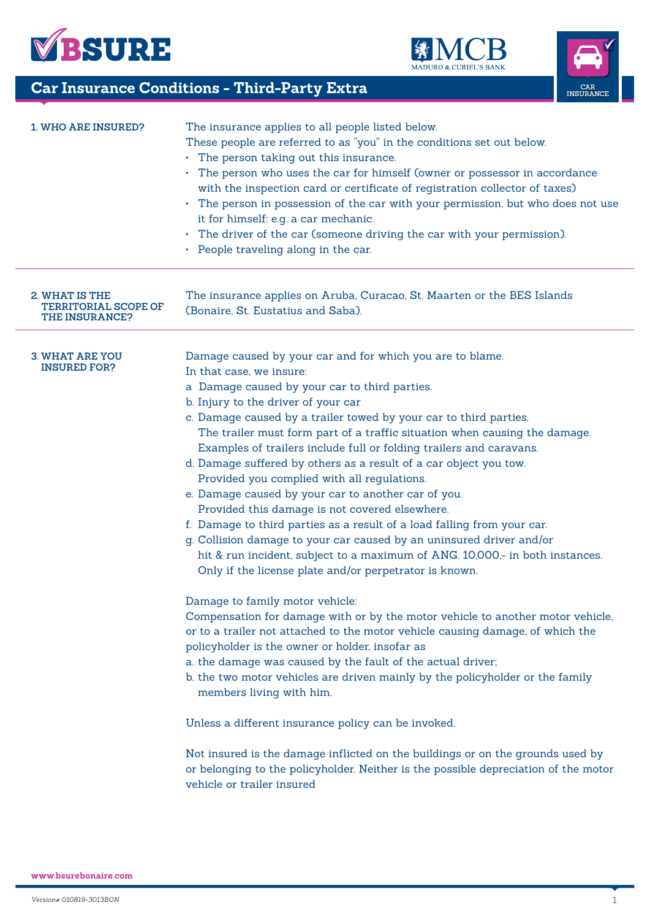





|                                                                        | <b>Car Insurance Conditions - Third-Party Extra</b>                                                                                                                                                                                                                                                                                                                                                                                                                                                                                                                                                                                                                                                                                                                                                                                                                                                                                                                                                                                                                                                                                                                                                                                                                                                                                                                                                                                                                                                                                                                                                                                   | $\operatorname*{CAR}% \left( \mathcal{M}\right)$ INSURANCE |  |  |  |  |
|------------------------------------------------------------------------|---------------------------------------------------------------------------------------------------------------------------------------------------------------------------------------------------------------------------------------------------------------------------------------------------------------------------------------------------------------------------------------------------------------------------------------------------------------------------------------------------------------------------------------------------------------------------------------------------------------------------------------------------------------------------------------------------------------------------------------------------------------------------------------------------------------------------------------------------------------------------------------------------------------------------------------------------------------------------------------------------------------------------------------------------------------------------------------------------------------------------------------------------------------------------------------------------------------------------------------------------------------------------------------------------------------------------------------------------------------------------------------------------------------------------------------------------------------------------------------------------------------------------------------------------------------------------------------------------------------------------------------|------------------------------------------------------------|--|--|--|--|
| <b>1. WHO ARE INSURED?</b>                                             | The insurance applies to all people listed below.<br>These people are referred to as "you" in the conditions set out below.<br>• The person taking out this insurance.<br>• The person who uses the car for himself (owner or possessor in accordance<br>with the inspection card or certificate of registration collector of taxes)<br>The person in possession of the car with your permission, but who does not use<br>it for himself: e.g. a car mechanic.<br>• The driver of the car (someone driving the car with your permission).<br>• People traveling along in the car.                                                                                                                                                                                                                                                                                                                                                                                                                                                                                                                                                                                                                                                                                                                                                                                                                                                                                                                                                                                                                                                     |                                                            |  |  |  |  |
| 2. WHAT IS THE<br><b>TERRITORIAL SCOPE OF</b><br><b>THE INSURANCE?</b> | The insurance applies on Aruba, Curacao, St. Maarten or the BES Islands<br>(Bonaire, St. Eustatius and Saba).                                                                                                                                                                                                                                                                                                                                                                                                                                                                                                                                                                                                                                                                                                                                                                                                                                                                                                                                                                                                                                                                                                                                                                                                                                                                                                                                                                                                                                                                                                                         |                                                            |  |  |  |  |
| <b>3. WHAT ARE YOU</b><br><b>INSURED FOR?</b>                          | Damage caused by your car and for which you are to blame.<br>In that case, we insure:<br>a Damage caused by your car to third parties.<br>b. Injury to the driver of your car<br>c. Damage caused by a trailer towed by your car to third parties.<br>The trailer must form part of a traffic situation when causing the damage.<br>Examples of trailers include full or folding trailers and caravans.<br>d. Damage suffered by others as a result of a car object you tow.<br>Provided you complied with all regulations.<br>e. Damage caused by your car to another car of you.<br>Provided this damage is not covered elsewhere.<br>f. Damage to third parties as a result of a load falling from your car.<br>g. Collision damage to your car caused by an uninsured driver and/or<br>hit & run incident, subject to a maximum of ANG. 10,000,- in both instances.<br>Only if the license plate and/or perpetrator is known.<br>Damage to family motor vehicle:<br>Compensation for damage with or by the motor vehicle to another motor vehicle,<br>or to a trailer not attached to the motor vehicle causing damage, of which the<br>policyholder is the owner or holder, insofar as<br>a. the damage was caused by the fault of the actual driver;<br>b. the two motor vehicles are driven mainly by the policyholder or the family<br>members living with him.<br>Unless a different insurance policy can be invoked.<br>Not insured is the damage inflicted on the buildings or on the grounds used by<br>or belonging to the policyholder. Neither is the possible depreciation of the motor<br>vehicle or trailer insured |                                                            |  |  |  |  |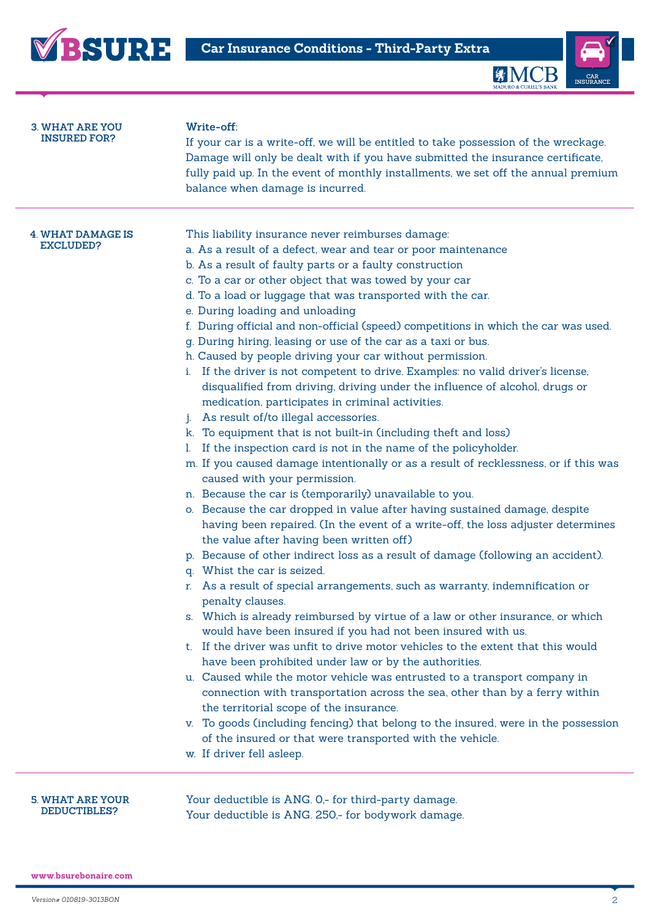



## **3. WHAT ARE YOU INSURED FOR?**

## **Write-off:**

If your car is a write-off, we will be entitled to take possession of the wreckage. Damage will only be dealt with if you have submitted the insurance certificate, fully paid up. In the event of monthly installments, we set off the annual premium balance when damage is incurred.

| 4. WHAT DAMAGE IS |
|-------------------|
| EXCLUDED?         |

| This liability insurance never reimburses damage: |
|---------------------------------------------------|
|---------------------------------------------------|

- a. As a result of a defect, wear and tear or poor maintenance
- b. As a result of faulty parts or a faulty construction
- c. To a car or other object that was towed by your car
- d. To a load or luggage that was transported with the car.
- e. During loading and unloading
- f. During official and non-official (speed) competitions in which the car was used.
- g. During hiring, leasing or use of the car as a taxi or bus.
- h. Caused by people driving your car without permission.
- i. If the driver is not competent to drive. Examples: no valid driver's license, disqualified from driving, driving under the influence of alcohol, drugs or medication, participates in criminal activities.
- j. As result of/to illegal accessories.
- k. To equipment that is not built-in (including theft and loss)
- l. If the inspection card is not in the name of the policyholder.
- m. If you caused damage intentionally or as a result of recklessness, or if this was caused with your permission.
- n. Because the car is (temporarily) unavailable to you.
- o. Because the car dropped in value after having sustained damage, despite having been repaired. (In the event of a write-off, the loss adjuster determines the value after having been written off)
- p. Because of other indirect loss as a result of damage (following an accident).
- q. Whist the car is seized.
- r. As a result of special arrangements, such as warranty, indemnification or penalty clauses.
- s. Which is already reimbursed by virtue of a law or other insurance, or which would have been insured if you had not been insured with us.
- t. If the driver was unfit to drive motor vehicles to the extent that this would have been prohibited under law or by the authorities.
- u. Caused while the motor vehicle was entrusted to a transport company in connection with transportation across the sea, other than by a ferry within the territorial scope of the insurance.
- v. To goods (including fencing) that belong to the insured, were in the possession of the insured or that were transported with the vehicle.
- w. If driver fell asleep.

## **5. WHAT ARE YOUR DEDUCTIBLES?**

Your deductible is ANG. 0,- for third-party damage. Your deductible is ANG. 250,- for bodywork damage.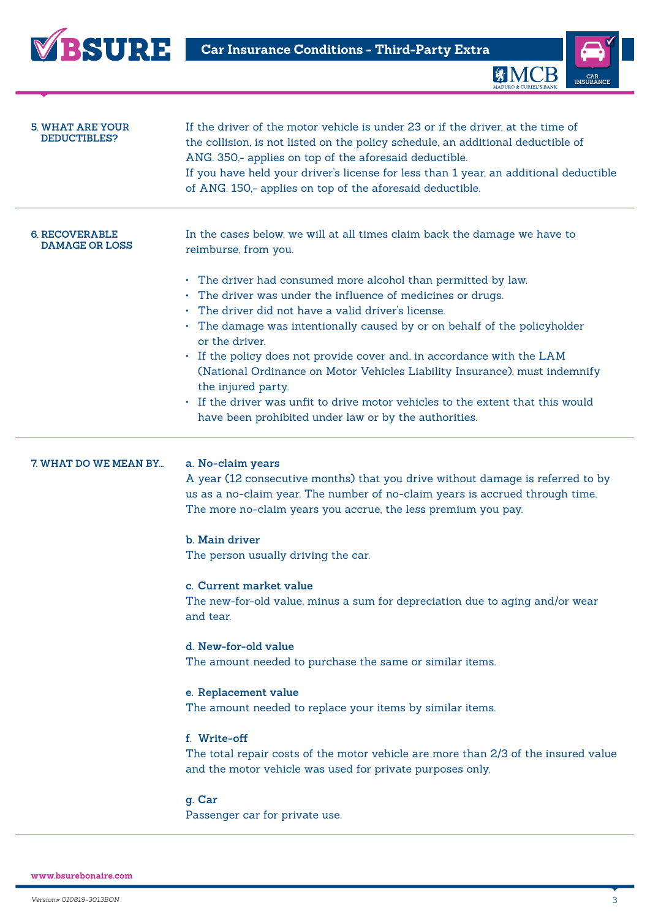



| 5. WHAT ARE YOUR<br>DEDUCTIBLES?               | If the driver of the motor vehicle is under 23 or if the driver, at the time of<br>the collision, is not listed on the policy schedule, an additional deductible of<br>ANG. 350,- applies on top of the aforesaid deductible.<br>If you have held your driver's license for less than 1 year, an additional deductible<br>of ANG. 150,- applies on top of the aforesaid deductible.                                                                                                                                                                                                                                                                                                                                                                                                                                                  |
|------------------------------------------------|--------------------------------------------------------------------------------------------------------------------------------------------------------------------------------------------------------------------------------------------------------------------------------------------------------------------------------------------------------------------------------------------------------------------------------------------------------------------------------------------------------------------------------------------------------------------------------------------------------------------------------------------------------------------------------------------------------------------------------------------------------------------------------------------------------------------------------------|
| <b>6. RECOVERABLE</b><br><b>DAMAGE OR LOSS</b> | In the cases below, we will at all times claim back the damage we have to<br>reimburse, from you.                                                                                                                                                                                                                                                                                                                                                                                                                                                                                                                                                                                                                                                                                                                                    |
|                                                | • The driver had consumed more alcohol than permitted by law.<br>The driver was under the influence of medicines or drugs.<br>The driver did not have a valid driver's license.<br>$\bullet$<br>• The damage was intentionally caused by or on behalf of the policyholder<br>or the driver.<br>• If the policy does not provide cover and, in accordance with the LAM<br>(National Ordinance on Motor Vehicles Liability Insurance), must indemnify<br>the injured party.<br>• If the driver was unfit to drive motor vehicles to the extent that this would<br>have been prohibited under law or by the authorities.                                                                                                                                                                                                                |
| 7. WHAT DO WE MEAN BY                          | a. No-claim years<br>A year (12 consecutive months) that you drive without damage is referred to by<br>us as a no-claim year. The number of no-claim years is accrued through time.<br>The more no-claim years you accrue, the less premium you pay.<br><b>b.</b> Main driver<br>The person usually driving the car.<br>c. Current market value<br>The new-for-old value, minus a sum for depreciation due to aging and/or wear<br>and tear.<br>d. New-for-old value<br>The amount needed to purchase the same or similar items.<br>e. Replacement value<br>The amount needed to replace your items by similar items.<br>f. Write-off<br>The total repair costs of the motor vehicle are more than 2/3 of the insured value<br>and the motor vehicle was used for private purposes only.<br>g. Car<br>Passenger car for private use. |

**www.bsurebonaire.com**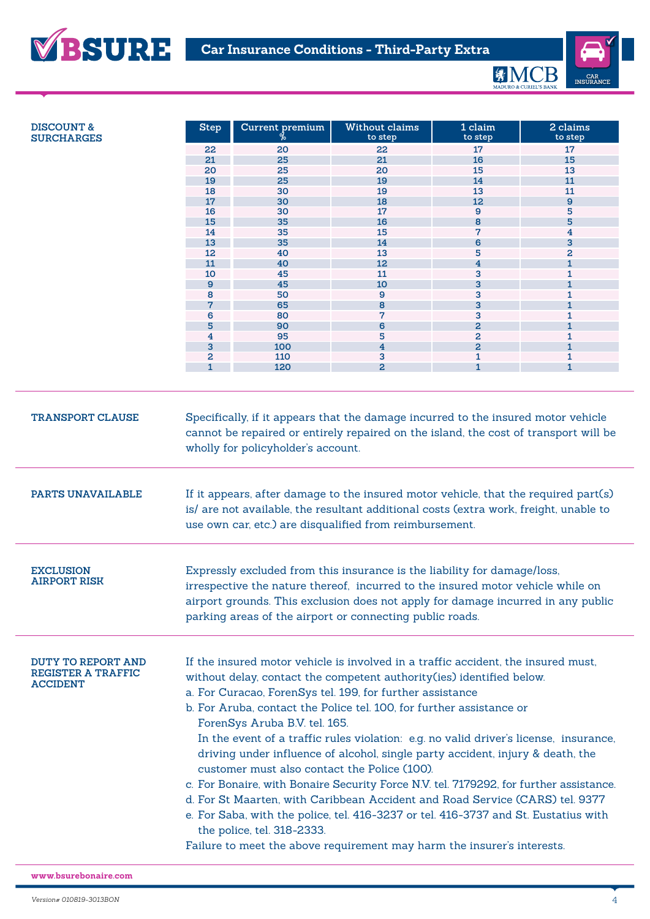

| <b>SURCHARGES</b>                       | <b>Step</b>                                                                                                                                                                                                                                                                                                 | Current premium                    | <b>Without claims</b><br>to step                                                     | 1 claim<br>to step      | 2 claims<br>to step |  |
|-----------------------------------------|-------------------------------------------------------------------------------------------------------------------------------------------------------------------------------------------------------------------------------------------------------------------------------------------------------------|------------------------------------|--------------------------------------------------------------------------------------|-------------------------|---------------------|--|
|                                         | 22                                                                                                                                                                                                                                                                                                          | 20                                 | 22                                                                                   | 17                      | 17                  |  |
|                                         | 21                                                                                                                                                                                                                                                                                                          | 25                                 | 21                                                                                   | 16                      | 15                  |  |
|                                         | 20                                                                                                                                                                                                                                                                                                          | 25                                 | 20                                                                                   | 15                      | 13                  |  |
|                                         |                                                                                                                                                                                                                                                                                                             | 25                                 |                                                                                      |                         | 11                  |  |
|                                         | 19                                                                                                                                                                                                                                                                                                          |                                    | 19                                                                                   | 14                      |                     |  |
|                                         | 18                                                                                                                                                                                                                                                                                                          | 30                                 | 19                                                                                   | 13                      | 11                  |  |
|                                         | 17                                                                                                                                                                                                                                                                                                          | 30                                 | 18                                                                                   | 12                      | 9                   |  |
|                                         | 16                                                                                                                                                                                                                                                                                                          | 30                                 | 17                                                                                   | 9                       | 5                   |  |
|                                         | 15                                                                                                                                                                                                                                                                                                          | 35                                 | 16                                                                                   | 8                       | 5                   |  |
|                                         | 14                                                                                                                                                                                                                                                                                                          | 35                                 | 15                                                                                   | 7                       | 4                   |  |
|                                         | 13                                                                                                                                                                                                                                                                                                          | 35                                 | 14                                                                                   | 6                       | 3                   |  |
|                                         | 12                                                                                                                                                                                                                                                                                                          | 40                                 | 13                                                                                   | 5                       | 2                   |  |
|                                         | 11                                                                                                                                                                                                                                                                                                          | 40                                 | 12                                                                                   | $\overline{\mathbf{4}}$ | $\mathbf{1}$        |  |
|                                         | 10                                                                                                                                                                                                                                                                                                          | 45                                 | 11                                                                                   | 3                       | 1                   |  |
|                                         | $\mathbf{9}$                                                                                                                                                                                                                                                                                                | 45                                 | 10                                                                                   | 3                       | $\mathbf{1}$        |  |
|                                         | 8                                                                                                                                                                                                                                                                                                           | 50                                 | 9                                                                                    | 3                       | 1                   |  |
|                                         |                                                                                                                                                                                                                                                                                                             | 65                                 | 8                                                                                    | 3                       | 1                   |  |
|                                         | 6                                                                                                                                                                                                                                                                                                           | 80                                 | 7                                                                                    | 3                       | 1                   |  |
|                                         | 5                                                                                                                                                                                                                                                                                                           | 90                                 | 6                                                                                    | $\overline{a}$          | 1                   |  |
|                                         | 4                                                                                                                                                                                                                                                                                                           | 95                                 | 5                                                                                    | 2                       | 1                   |  |
|                                         | 3                                                                                                                                                                                                                                                                                                           | 100                                | $\overline{4}$                                                                       | $\overline{a}$          |                     |  |
|                                         | 2                                                                                                                                                                                                                                                                                                           | 110                                | 3                                                                                    | 1                       | 1                   |  |
|                                         | $\mathbf{1}$                                                                                                                                                                                                                                                                                                | 120                                | $\overline{a}$                                                                       | $\mathbf{1}$            | $\mathbf{1}$        |  |
|                                         |                                                                                                                                                                                                                                                                                                             |                                    |                                                                                      |                         |                     |  |
|                                         |                                                                                                                                                                                                                                                                                                             | wholly for policyholder's account. | cannot be repaired or entirely repaired on the island, the cost of transport will be |                         |                     |  |
| PARTS UNAVAILABLE                       | If it appears, after damage to the insured motor vehicle, that the required part(s)<br>is/ are not available, the resultant additional costs (extra work, freight, unable to<br>use own car, etc.) are disqualified from reimbursement.                                                                     |                                    |                                                                                      |                         |                     |  |
| <b>EXCLUSION</b><br><b>AIRPORT RISK</b> | Expressly excluded from this insurance is the liability for damage/loss,<br>irrespective the nature thereof, incurred to the insured motor vehicle while on<br>airport grounds. This exclusion does not apply for damage incurred in any public<br>parking areas of the airport or connecting public roads. |                                    |                                                                                      |                         |                     |  |
|                                         |                                                                                                                                                                                                                                                                                                             |                                    |                                                                                      |                         |                     |  |

**www.bsurebonaire.com**

**VBSURE**